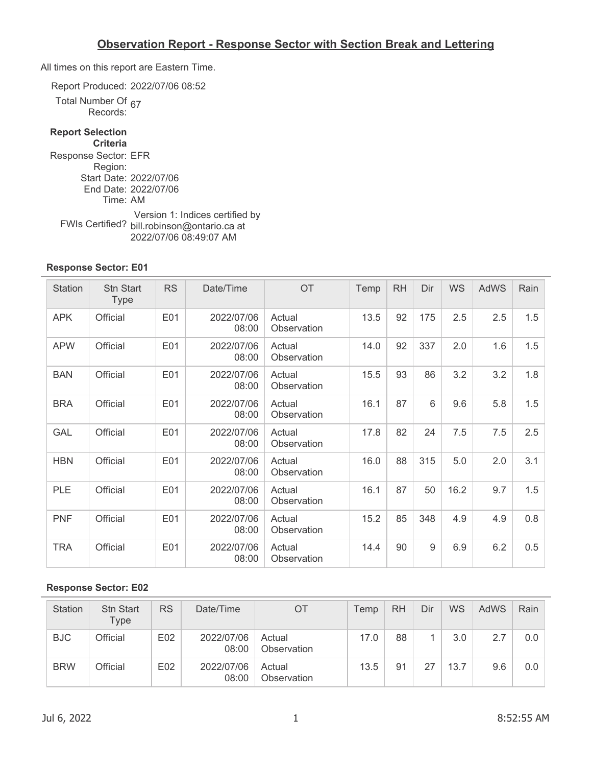All times on this report are Eastern Time.

Report Produced: 2022/07/06 08:52

Total Number Of umper Or <sub>67</sub><br>Records:

### **Report Selection**

**Criteria** Response Sector: EFR Region: Start Date: 2022/07/06 End Date: 2022/07/06 Time: AM FWIs Certified? bill.robinson@ontario.ca at Version 1: Indices certified by 2022/07/06 08:49:07 AM

#### **Response Sector: E01**

| Station    | <b>Stn Start</b><br><b>Type</b> | <b>RS</b> | Date/Time           | <b>OT</b>             | Temp | <b>RH</b> | Dir | <b>WS</b> | <b>AdWS</b> | Rain |
|------------|---------------------------------|-----------|---------------------|-----------------------|------|-----------|-----|-----------|-------------|------|
| <b>APK</b> | Official                        | E01       | 2022/07/06<br>08:00 | Actual<br>Observation | 13.5 | 92        | 175 | 2.5       | 2.5         | 1.5  |
| <b>APW</b> | Official                        | E01       | 2022/07/06<br>08:00 | Actual<br>Observation | 14.0 | 92        | 337 | 2.0       | 1.6         | 1.5  |
| <b>BAN</b> | Official                        | E01       | 2022/07/06<br>08:00 | Actual<br>Observation | 15.5 | 93        | 86  | 3.2       | 3.2         | 1.8  |
| <b>BRA</b> | Official                        | E01       | 2022/07/06<br>08:00 | Actual<br>Observation | 16.1 | 87        | 6   | 9.6       | 5.8         | 1.5  |
| <b>GAL</b> | Official                        | E01       | 2022/07/06<br>08:00 | Actual<br>Observation | 17.8 | 82        | 24  | 7.5       | 7.5         | 2.5  |
| <b>HBN</b> | Official                        | E01       | 2022/07/06<br>08:00 | Actual<br>Observation | 16.0 | 88        | 315 | 5.0       | 2.0         | 3.1  |
| <b>PLE</b> | Official                        | E01       | 2022/07/06<br>08:00 | Actual<br>Observation | 16.1 | 87        | 50  | 16.2      | 9.7         | 1.5  |
| <b>PNF</b> | Official                        | E01       | 2022/07/06<br>08:00 | Actual<br>Observation | 15.2 | 85        | 348 | 4.9       | 4.9         | 0.8  |
| <b>TRA</b> | Official                        | E01       | 2022/07/06<br>08:00 | Actual<br>Observation | 14.4 | 90        | 9   | 6.9       | 6.2         | 0.5  |

| <b>Station</b> | <b>Stn Start</b><br>Type | <b>RS</b> | Date/Time           | ОT                    | Temp | <b>RH</b> | Dir | <b>WS</b> | AdWS | Rain |
|----------------|--------------------------|-----------|---------------------|-----------------------|------|-----------|-----|-----------|------|------|
| <b>BJC</b>     | Official                 | E02       | 2022/07/06<br>08:00 | Actual<br>Observation | 17.0 | 88        |     | 3.0       | 2.7  | 0.0  |
| <b>BRW</b>     | Official                 | E02       | 2022/07/06<br>08:00 | Actual<br>Observation | 13.5 | 91        | 27  | 13.7      | 9.6  | 0.0  |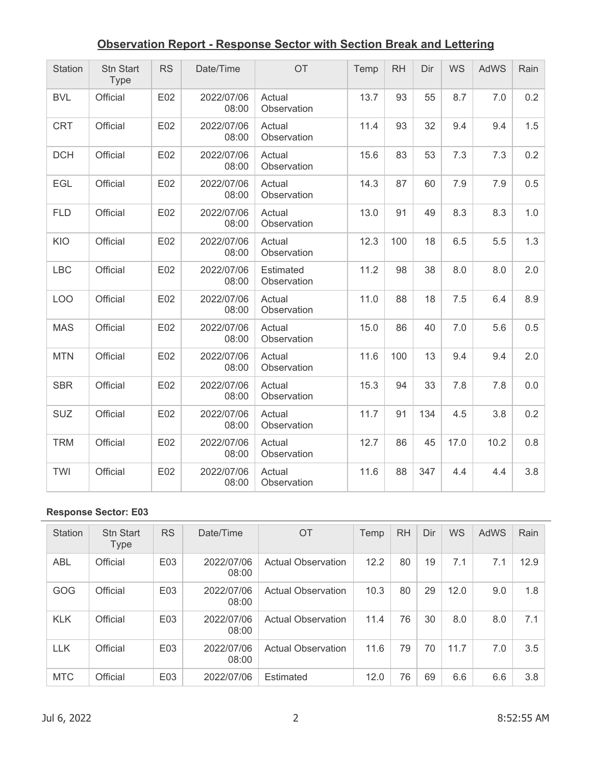| Station    | Stn Start<br><b>Type</b> | <b>RS</b> | Date/Time           | OT                       | Temp | <b>RH</b> | Dir | WS   | <b>AdWS</b> | Rain |
|------------|--------------------------|-----------|---------------------|--------------------------|------|-----------|-----|------|-------------|------|
| <b>BVL</b> | Official                 | E02       | 2022/07/06<br>08:00 | Actual<br>Observation    | 13.7 | 93        | 55  | 8.7  | 7.0         | 0.2  |
| <b>CRT</b> | Official                 | E02       | 2022/07/06<br>08:00 | Actual<br>Observation    | 11.4 | 93        | 32  | 9.4  | 9.4         | 1.5  |
| <b>DCH</b> | Official                 | E02       | 2022/07/06<br>08:00 | Actual<br>Observation    | 15.6 | 83        | 53  | 7.3  | 7.3         | 0.2  |
| <b>EGL</b> | Official                 | E02       | 2022/07/06<br>08:00 | Actual<br>Observation    | 14.3 | 87        | 60  | 7.9  | 7.9         | 0.5  |
| <b>FLD</b> | Official                 | E02       | 2022/07/06<br>08:00 | Actual<br>Observation    | 13.0 | 91        | 49  | 8.3  | 8.3         | 1.0  |
| KIO        | Official                 | E02       | 2022/07/06<br>08:00 | Actual<br>Observation    | 12.3 | 100       | 18  | 6.5  | 5.5         | 1.3  |
| <b>LBC</b> | Official                 | E02       | 2022/07/06<br>08:00 | Estimated<br>Observation | 11.2 | 98        | 38  | 8.0  | 8.0         | 2.0  |
| <b>LOO</b> | Official                 | E02       | 2022/07/06<br>08:00 | Actual<br>Observation    | 11.0 | 88        | 18  | 7.5  | 6.4         | 8.9  |
| <b>MAS</b> | Official                 | E02       | 2022/07/06<br>08:00 | Actual<br>Observation    | 15.0 | 86        | 40  | 7.0  | 5.6         | 0.5  |
| <b>MTN</b> | Official                 | E02       | 2022/07/06<br>08:00 | Actual<br>Observation    | 11.6 | 100       | 13  | 9.4  | 9.4         | 2.0  |
| <b>SBR</b> | Official                 | E02       | 2022/07/06<br>08:00 | Actual<br>Observation    | 15.3 | 94        | 33  | 7.8  | 7.8         | 0.0  |
| <b>SUZ</b> | Official                 | E02       | 2022/07/06<br>08:00 | Actual<br>Observation    | 11.7 | 91        | 134 | 4.5  | 3.8         | 0.2  |
| <b>TRM</b> | Official                 | E02       | 2022/07/06<br>08:00 | Actual<br>Observation    | 12.7 | 86        | 45  | 17.0 | 10.2        | 0.8  |
| TWI        | Official                 | E02       | 2022/07/06<br>08:00 | Actual<br>Observation    | 11.6 | 88        | 347 | 4.4  | 4.4         | 3.8  |

| <b>Station</b> | <b>Stn Start</b><br><b>Type</b> | <b>RS</b> | Date/Time           | <b>OT</b>                 | Temp | <b>RH</b> | Dir | WS   | AdWS | Rain |
|----------------|---------------------------------|-----------|---------------------|---------------------------|------|-----------|-----|------|------|------|
| <b>ABL</b>     | Official                        | E03       | 2022/07/06<br>08:00 | <b>Actual Observation</b> | 12.2 | 80        | 19  | 7.1  | 7.1  | 12.9 |
| <b>GOG</b>     | Official                        | E03       | 2022/07/06<br>08:00 | <b>Actual Observation</b> | 10.3 | 80        | 29  | 12.0 | 9.0  | 1.8  |
| <b>KLK</b>     | Official                        | E03       | 2022/07/06<br>08:00 | <b>Actual Observation</b> | 11.4 | 76        | 30  | 8.0  | 8.0  | 7.1  |
| <b>LLK</b>     | Official                        | E03       | 2022/07/06<br>08:00 | <b>Actual Observation</b> | 11.6 | 79        | 70  | 11.7 | 7.0  | 3.5  |
| <b>MTC</b>     | Official                        | E03       | 2022/07/06          | <b>Estimated</b>          | 12.0 | 76        | 69  | 6.6  | 6.6  | 3.8  |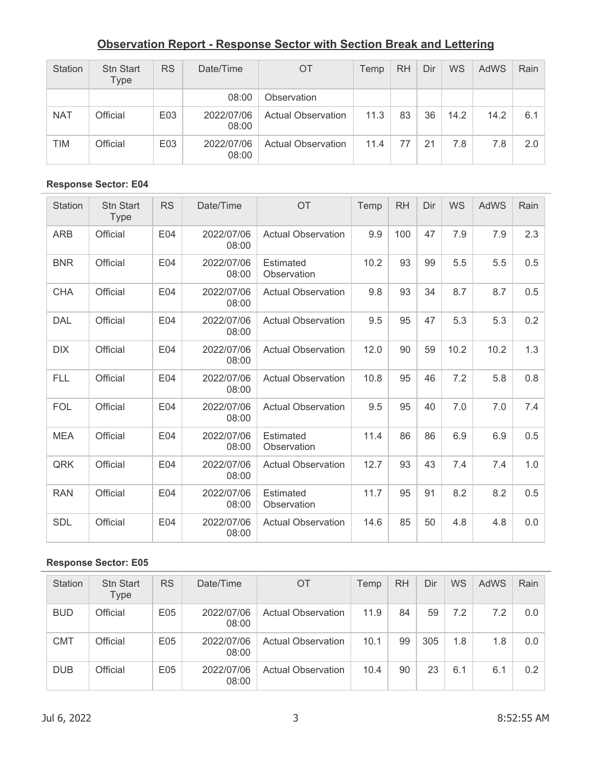| <b>Station</b> | <b>Stn Start</b><br>Type | <b>RS</b> | Date/Time           | ОT                        | Temp | <b>RH</b> | Dir | <b>WS</b> | AdWS | Rain |
|----------------|--------------------------|-----------|---------------------|---------------------------|------|-----------|-----|-----------|------|------|
|                |                          |           | 08:00               | Observation               |      |           |     |           |      |      |
| <b>NAT</b>     | Official                 | E03       | 2022/07/06<br>08:00 | <b>Actual Observation</b> | 11.3 | 83        | 36  | 14.2      | 14.2 | 6.1  |
| <b>TIM</b>     | Official                 | E03       | 2022/07/06<br>08:00 | <b>Actual Observation</b> | 11.4 | 77        | 21  | 7.8       | 7.8  | 2.0  |

#### **Response Sector: E04**

| <b>Station</b> | <b>Stn Start</b><br><b>Type</b> | <b>RS</b> | Date/Time           | <b>OT</b>                       | Temp | <b>RH</b> | Dir | WS   | AdWS | Rain |
|----------------|---------------------------------|-----------|---------------------|---------------------------------|------|-----------|-----|------|------|------|
| <b>ARB</b>     | Official                        | E04       | 2022/07/06<br>08:00 | <b>Actual Observation</b>       | 9.9  | 100       | 47  | 7.9  | 7.9  | 2.3  |
| <b>BNR</b>     | Official                        | E04       | 2022/07/06<br>08:00 | Estimated<br>Observation        | 10.2 | 93        | 99  | 5.5  | 5.5  | 0.5  |
| <b>CHA</b>     | Official                        | E04       | 2022/07/06<br>08:00 | <b>Actual Observation</b>       | 9.8  | 93        | 34  | 8.7  | 8.7  | 0.5  |
| <b>DAL</b>     | Official                        | E04       | 2022/07/06<br>08:00 | <b>Actual Observation</b>       | 9.5  | 95        | 47  | 5.3  | 5.3  | 0.2  |
| <b>DIX</b>     | Official                        | E04       | 2022/07/06<br>08:00 | <b>Actual Observation</b>       | 12.0 | 90        | 59  | 10.2 | 10.2 | 1.3  |
| <b>FLL</b>     | Official                        | E04       | 2022/07/06<br>08:00 | <b>Actual Observation</b>       | 10.8 | 95        | 46  | 7.2  | 5.8  | 0.8  |
| <b>FOL</b>     | Official                        | E04       | 2022/07/06<br>08:00 | <b>Actual Observation</b>       | 9.5  | 95        | 40  | 7.0  | 7.0  | 7.4  |
| <b>MEA</b>     | Official                        | E04       | 2022/07/06<br>08:00 | <b>Estimated</b><br>Observation | 11.4 | 86        | 86  | 6.9  | 6.9  | 0.5  |
| QRK            | Official                        | E04       | 2022/07/06<br>08:00 | <b>Actual Observation</b>       | 12.7 | 93        | 43  | 7.4  | 7.4  | 1.0  |
| <b>RAN</b>     | Official                        | E04       | 2022/07/06<br>08:00 | Estimated<br>Observation        | 11.7 | 95        | 91  | 8.2  | 8.2  | 0.5  |
| <b>SDL</b>     | Official                        | E04       | 2022/07/06<br>08:00 | <b>Actual Observation</b>       | 14.6 | 85        | 50  | 4.8  | 4.8  | 0.0  |

| <b>Station</b> | <b>Stn Start</b><br>Type | <b>RS</b> | Date/Time           | OT                        | Temp | <b>RH</b> | Dir | <b>WS</b> | AdWS | Rain |
|----------------|--------------------------|-----------|---------------------|---------------------------|------|-----------|-----|-----------|------|------|
| <b>BUD</b>     | Official                 | E05       | 2022/07/06<br>08:00 | <b>Actual Observation</b> | 11.9 | 84        | 59  | 7.2       | 7.2  | 0.0  |
| <b>CMT</b>     | Official                 | E05       | 2022/07/06<br>08:00 | <b>Actual Observation</b> | 10.1 | 99        | 305 | 1.8       | 1.8  | 0.0  |
| <b>DUB</b>     | Official                 | E05       | 2022/07/06<br>08:00 | <b>Actual Observation</b> | 10.4 | 90        | 23  | 6.1       | 6.1  | 0.2  |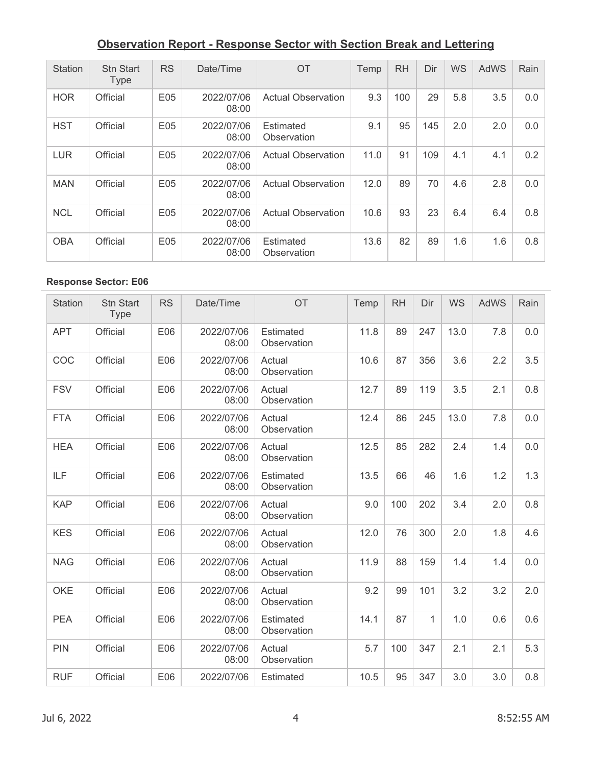| <b>Station</b> | <b>Stn Start</b><br><b>Type</b> | <b>RS</b> | Date/Time           | OT                              | Temp | <b>RH</b> | Dir | <b>WS</b> | AdWS | Rain |
|----------------|---------------------------------|-----------|---------------------|---------------------------------|------|-----------|-----|-----------|------|------|
| <b>HOR</b>     | Official                        | E05       | 2022/07/06<br>08:00 | <b>Actual Observation</b>       | 9.3  | 100       | 29  | 5.8       | 3.5  | 0.0  |
| <b>HST</b>     | Official                        | E05       | 2022/07/06<br>08:00 | Estimated<br>Observation        | 9.1  | 95        | 145 | 2.0       | 2.0  | 0.0  |
| <b>LUR</b>     | Official                        | E05       | 2022/07/06<br>08:00 | <b>Actual Observation</b>       | 11.0 | 91        | 109 | 4.1       | 4.1  | 0.2  |
| <b>MAN</b>     | Official                        | E05       | 2022/07/06<br>08:00 | <b>Actual Observation</b>       | 12.0 | 89        | 70  | 4.6       | 2.8  | 0.0  |
| <b>NCL</b>     | Official                        | E05       | 2022/07/06<br>08:00 | <b>Actual Observation</b>       | 10.6 | 93        | 23  | 6.4       | 6.4  | 0.8  |
| <b>OBA</b>     | Official                        | E05       | 2022/07/06<br>08:00 | <b>Estimated</b><br>Observation | 13.6 | 82        | 89  | 1.6       | 1.6  | 0.8  |

| <b>Station</b> | <b>Stn Start</b><br><b>Type</b> | <b>RS</b> | Date/Time           | OT                       | Temp | <b>RH</b> | Dir          | <b>WS</b> | <b>AdWS</b> | Rain |
|----------------|---------------------------------|-----------|---------------------|--------------------------|------|-----------|--------------|-----------|-------------|------|
| <b>APT</b>     | Official                        | E06       | 2022/07/06<br>08:00 | Estimated<br>Observation | 11.8 | 89        | 247          | 13.0      | 7.8         | 0.0  |
| COC            | Official                        | E06       | 2022/07/06<br>08:00 | Actual<br>Observation    | 10.6 | 87        | 356          | 3.6       | 2.2         | 3.5  |
| <b>FSV</b>     | Official                        | E06       | 2022/07/06<br>08:00 | Actual<br>Observation    | 12.7 | 89        | 119          | 3.5       | 2.1         | 0.8  |
| <b>FTA</b>     | Official                        | E06       | 2022/07/06<br>08:00 | Actual<br>Observation    | 12.4 | 86        | 245          | 13.0      | 7.8         | 0.0  |
| <b>HEA</b>     | Official                        | E06       | 2022/07/06<br>08:00 | Actual<br>Observation    | 12.5 | 85        | 282          | 2.4       | 1.4         | 0.0  |
| <b>ILF</b>     | Official                        | E06       | 2022/07/06<br>08:00 | Estimated<br>Observation | 13.5 | 66        | 46           | 1.6       | 1.2         | 1.3  |
| <b>KAP</b>     | Official                        | E06       | 2022/07/06<br>08:00 | Actual<br>Observation    | 9.0  | 100       | 202          | 3.4       | 2.0         | 0.8  |
| <b>KES</b>     | Official                        | E06       | 2022/07/06<br>08:00 | Actual<br>Observation    | 12.0 | 76        | 300          | 2.0       | 1.8         | 4.6  |
| <b>NAG</b>     | Official                        | E06       | 2022/07/06<br>08:00 | Actual<br>Observation    | 11.9 | 88        | 159          | 1.4       | 1.4         | 0.0  |
| <b>OKE</b>     | Official                        | E06       | 2022/07/06<br>08:00 | Actual<br>Observation    | 9.2  | 99        | 101          | 3.2       | 3.2         | 2.0  |
| <b>PEA</b>     | Official                        | E06       | 2022/07/06<br>08:00 | Estimated<br>Observation | 14.1 | 87        | $\mathbf{1}$ | 1.0       | 0.6         | 0.6  |
| <b>PIN</b>     | Official                        | E06       | 2022/07/06<br>08:00 | Actual<br>Observation    | 5.7  | 100       | 347          | 2.1       | 2.1         | 5.3  |
| <b>RUF</b>     | Official                        | E06       | 2022/07/06          | Estimated                | 10.5 | 95        | 347          | 3.0       | 3.0         | 0.8  |